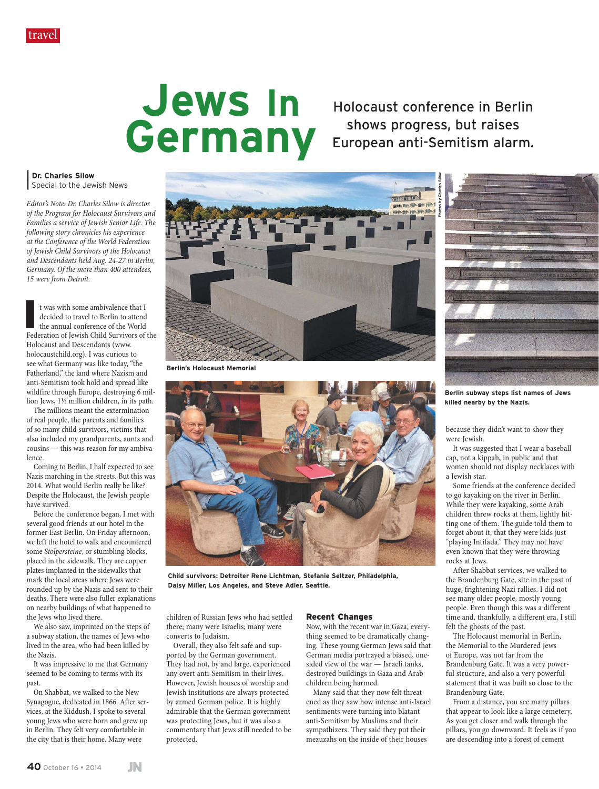# **Jews In Germany**

Holocaust conference in Berlin shows progress, but raises European anti-Semitism alarm.

**Photos by Charles Silow**

**| Dr. Charles Silow |** Special to the Jewish News

*Editor's Note: Dr. Charles Silow is director of the Program for Holocaust Survivors and Families a service of Jewish Senior Life. The following story chronicles his experience at the Conference of the World Federation of Jewish Child Survivors of the Holocaust and Descendants held Aug. 24-27 in Berlin, Germany. Of the more than 400 attendees, 15 were from Detroit.*

It was with some ambivalence that I decided to travel to Berlin to attend the annual conference of the World Federation of Jewish Child Survivors of the t was with some ambivalence that I decided to travel to Berlin to attend the annual conference of the World Holocaust and Descendants (www. holocaustchild.org). I was curious to see what Germany was like today, "the Fatherland," the land where Nazism and anti-Semitism took hold and spread like wildfire through Europe, destroying 6 million Jews, 1½ million children, in its path.

The millions meant the extermination of real people, the parents and families of so many child survivors, victims that also included my grandparents, aunts and cousins — this was reason for my ambivalence.

Coming to Berlin, I half expected to see Nazis marching in the streets. But this was 2014. What would Berlin really be like? Despite the Holocaust, the Jewish people have survived.

Before the conference began, I met with several good friends at our hotel in the former East Berlin. On Friday afternoon, we left the hotel to walk and encountered some *Stolpersteine*, or stumbling blocks, placed in the sidewalk. They are copper plates implanted in the sidewalks that mark the local areas where Jews were rounded up by the Nazis and sent to their deaths. There were also fuller explanations on nearby buildings of what happened to the Jews who lived there.

We also saw, imprinted on the steps of a subway station, the names of Jews who lived in the area, who had been killed by the Nazis.

It was impressive to me that Germany seemed to be coming to terms with its past.

On Shabbat, we walked to the New Synagogue, dedicated in 1866. After services, at the Kiddush, I spoke to several young Jews who were born and grew up in Berlin. They felt very comfortable in the city that is their home. Many were



**Berlin's Holocaust Memorial**



**Child survivors: Detroiter Rene Lichtman, Stefanie Seltzer, Philadelphia, Daisy Miller, Los Angeles, and Steve Adler, Seattle.**

children of Russian Jews who had settled there; many were Israelis; many were converts to Judaism.

Overall, they also felt safe and supported by the German government. They had not, by and large, experienced any overt anti-Semitism in their lives. However, Jewish houses of worship and Jewish institutions are always protected by armed German police. It is highly admirable that the German government was protecting Jews, but it was also a commentary that Jews still needed to be protected.

#### Recent Changes

Now, with the recent war in Gaza, everything seemed to be dramatically changing. These young German Jews said that German media portrayed a biased, onesided view of the war — Israeli tanks, destroyed buildings in Gaza and Arab children being harmed.

Many said that they now felt threatened as they saw how intense anti-Israel sentiments were turning into blatant anti-Semitism by Muslims and their sympathizers. They said they put their mezuzahs on the inside of their houses



**Berlin subway steps list names of Jews killed nearby by the Nazis.**

because they didn't want to show they were Jewish.

It was suggested that I wear a baseball cap, not a kippah, in public and that women should not display necklaces with a Jewish star.

Some friends at the conference decided to go kayaking on the river in Berlin. While they were kayaking, some Arab children threw rocks at them, lightly hitting one of them. The guide told them to forget about it, that they were kids just "playing Intifada." They may not have even known that they were throwing rocks at Jews.

After Shabbat services, we walked to the Brandenburg Gate, site in the past of huge, frightening Nazi rallies. I did not see many older people, mostly young people. Even though this was a different time and, thankfully, a different era, I still felt the ghosts of the past.

The Holocaust memorial in Berlin, the Memorial to the Murdered Jews of Europe, was not far from the Brandenburg Gate. It was a very powerful structure, and also a very powerful statement that it was built so close to the Brandenburg Gate.

From a distance, you see many pillars that appear to look like a large cemetery. As you get closer and walk through the pillars, you go downward. It feels as if you are descending into a forest of cement